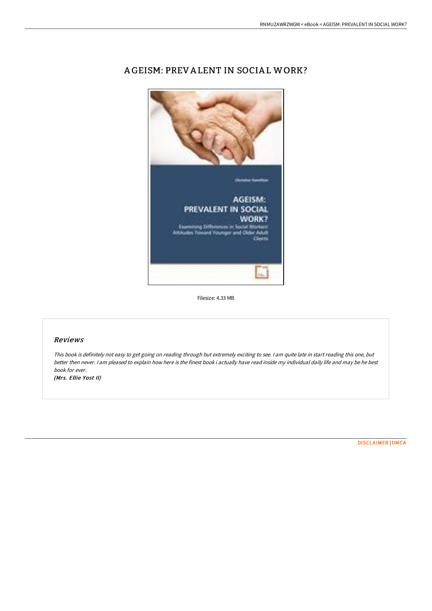

# A GEISM: PREV A LENT IN SOCIA L WORK?

Filesize: 4.33 MB

## Reviews

This book is definitely not easy to get going on reading through but extremely exciting to see. <sup>I</sup> am quite late in start reading this one, but better then never. I am pleased to explain how here is the finest book i actually have read inside my individual daily life and may be he best book for ever.

(Mrs. Ellie Yost II)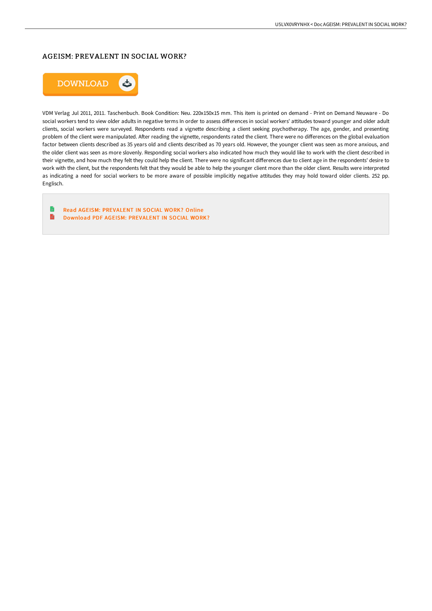### AGEISM: PREVALENT IN SOCIAL WORK?



VDM Verlag Jul 2011, 2011. Taschenbuch. Book Condition: Neu. 220x150x15 mm. This item is printed on demand - Print on Demand Neuware - Do social workers tend to view older adults in negative terms In order to assess differences in social workers' attitudes toward younger and older adult clients, social workers were surveyed. Respondents read a vignette describing a client seeking psychotherapy. The age, gender, and presenting problem of the client were manipulated. After reading the vignette, respondents rated the client. There were no differences on the global evaluation factor between clients described as 35 years old and clients described as 70 years old. However, the younger client was seen as more anxious, and the older client was seen as more slovenly. Responding social workers also indicated how much they would like to work with the client described in their vignette, and how much they felt they could help the client. There were no significant differences due to client age in the respondents' desire to work with the client, but the respondents felt that they would be able to help the younger client more than the older client. Results were interpreted as indicating a need for social workers to be more aware of possible implicitly negative attitudes they may hold toward older clients. 252 pp. Englisch.

B Read AGEISM: [PREVALENT](http://techno-pub.tech/ageism-prevalent-in-social-work.html) IN SOCIAL WORK? Online E Download PDF AGEISM: [PREVALENT](http://techno-pub.tech/ageism-prevalent-in-social-work.html) IN SOCIAL WORK?